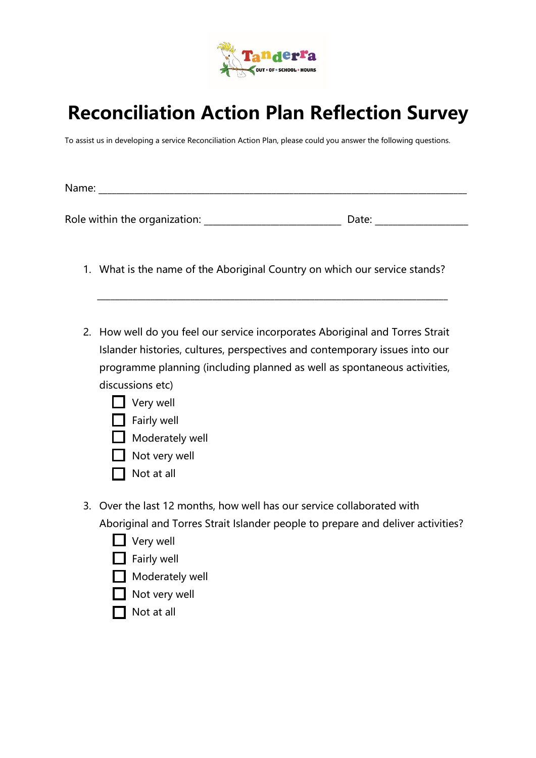

## **Reconciliation Action Plan Reflection Survey**

To assist us in developing a service Reconciliation Action Plan, please could you answer the following questions.

Name: \_\_\_\_\_\_\_\_\_\_\_\_\_\_\_\_\_\_\_\_\_\_\_\_\_\_\_\_\_\_\_\_\_\_\_\_\_\_\_\_\_\_\_\_\_\_\_\_\_\_\_\_\_\_\_\_\_\_\_\_\_\_\_\_\_\_\_\_\_\_\_\_\_\_\_\_\_\_\_\_\_\_\_

Role within the organization: \_\_\_\_\_\_\_\_\_\_\_\_\_\_\_\_\_\_\_\_\_\_\_\_\_\_\_\_\_\_\_ Date: \_\_\_\_\_\_\_\_\_\_\_\_\_\_\_\_\_\_\_\_\_

1. What is the name of the Aboriginal Country on which our service stands?

 $\_$  , and the set of the set of the set of the set of the set of the set of the set of the set of the set of the set of the set of the set of the set of the set of the set of the set of the set of the set of the set of th

- 2. How well do you feel our service incorporates Aboriginal and Torres Strait Islander histories, cultures, perspectives and contemporary issues into our programme planning (including planned as well as spontaneous activities, discussions etc)
	- $\Box$  Very well
	- $\Box$  Fairly well
	- $\Box$  Moderately well
	- Not very well
	- $\Box$  Not at all
- 3. Over the last 12 months, how well has our service collaborated with Aboriginal and Torres Strait Islander people to prepare and deliver activities?
	- **D** Very well
	- $\Box$  Fairly well
	- $\Box$  Moderately well
	- $\Box$  Not very well
	- $\Box$  Not at all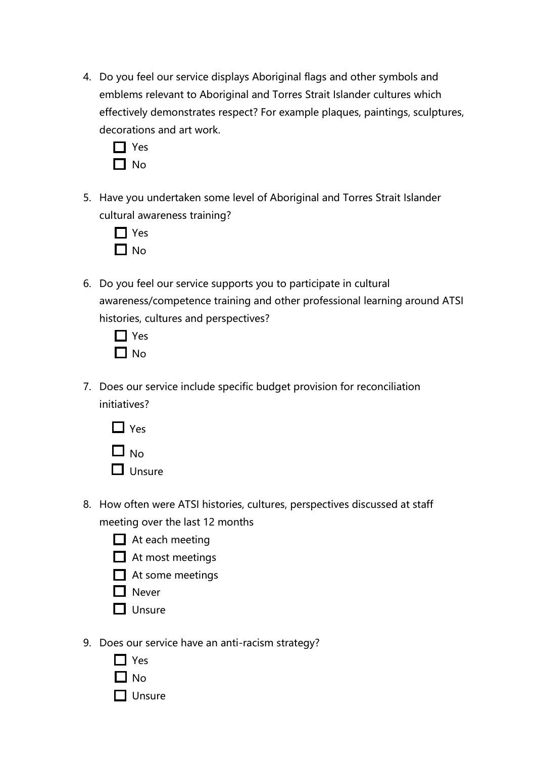4. Do you feel our service displays Aboriginal flags and other symbols and emblems relevant to Aboriginal and Torres Strait Islander cultures which effectively demonstrates respect? For example plaques, paintings, sculptures, decorations and art work.



5. Have you undertaken some level of Aboriginal and Torres Strait Islander cultural awareness training?



6. Do you feel our service supports you to participate in cultural awareness/competence training and other professional learning around ATSI histories, cultures and perspectives?



7. Does our service include specific budget provision for reconciliation initiatives?



- $\Box$  Unsure
- 8. How often were ATSI histories, cultures, perspectives discussed at staff meeting over the last 12 months
	- $\Box$  At each meeting
	- $\Box$  At most meetings
	- $\Box$  At some meetings
	- **Never**
	- $\Box$  Unsure
- 9. Does our service have an anti-racism strategy?
	- □ Yes  $\Box$  No
	- $\Box$  Unsure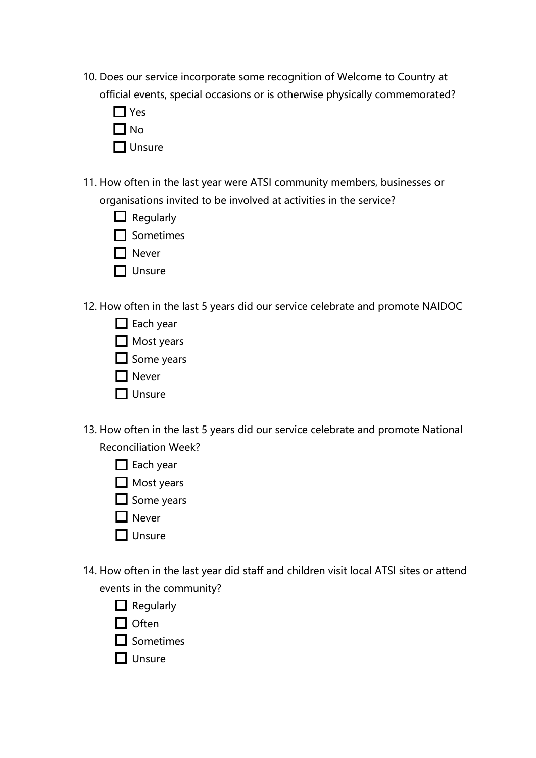- 10. Does our service incorporate some recognition of Welcome to Country at official events, special occasions or is otherwise physically commemorated?
	- Yes  $\Box$  No  $\Box$  Unsure
- 11. How often in the last year were ATSI community members, businesses or organisations invited to be involved at activities in the service?
	- $\Box$  Regularly
	- **□** Sometimes
	- **Never**
	- $\Box$  Unsure
- 12. How often in the last 5 years did our service celebrate and promote NAIDOC
	- $\Box$  Each year
	- Most years
	- $\Box$  Some years
	- **□** Never
	- $\prod$  Unsure
- 13. How often in the last 5 years did our service celebrate and promote National Reconciliation Week?
	- □ Each year
	- Most years
	- $\Box$  Some years
	- **Never**
	- $\Box$  Unsure
- 14. How often in the last year did staff and children visit local ATSI sites or attend events in the community?
	- $\Box$  Regularly
	- $\Box$  Often
	- $\Box$  Sometimes
	- $\Pi$  Unsure